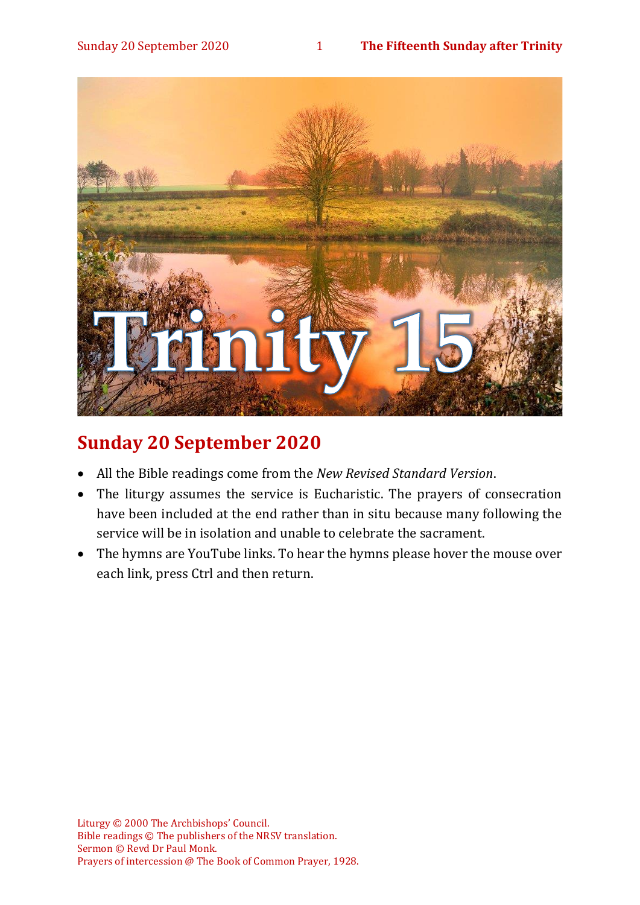

# **Sunday 20 September 2020**

- All the Bible readings come from the *New Revised Standard Version*.
- The liturgy assumes the service is Eucharistic. The prayers of consecration have been included at the end rather than in situ because many following the service will be in isolation and unable to celebrate the sacrament.
- The hymns are YouTube links. To hear the hymns please hover the mouse over each link, press Ctrl and then return.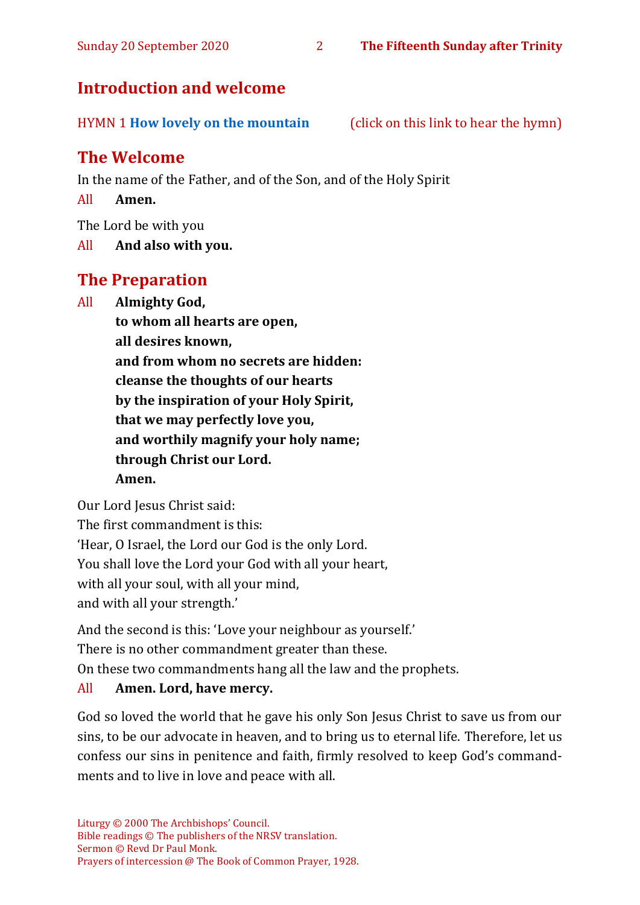## **Introduction and welcome**

HYMN 1 **[How lovely on the mountain](https://www.youtube.com/watch?v=_lQRmFXNA2Q)** (click on this link to hear the hymn)

## **The Welcome**

In the name of the Father, and of the Son, and of the Holy Spirit

All **Amen.**

The Lord be with you

All **And also with you.**

## **The Preparation**

All **Almighty God,**

**to whom all hearts are open, all desires known, and from whom no secrets are hidden: cleanse the thoughts of our hearts by the inspiration of your Holy Spirit, that we may perfectly love you, and worthily magnify your holy name; through Christ our Lord. Amen.**

Our Lord Jesus Christ said:

The first commandment is this: 'Hear, O Israel, the Lord our God is the only Lord. You shall love the Lord your God with all your heart, with all your soul, with all your mind, and with all your strength.'

And the second is this: 'Love your neighbour as yourself.'

There is no other commandment greater than these.

On these two commandments hang all the law and the prophets.

## All **Amen. Lord, have mercy.**

God so loved the world that he gave his only Son Jesus Christ to save us from our sins, to be our advocate in heaven, and to bring us to eternal life. Therefore, let us confess our sins in penitence and faith, firmly resolved to keep God's commandments and to live in love and peace with all.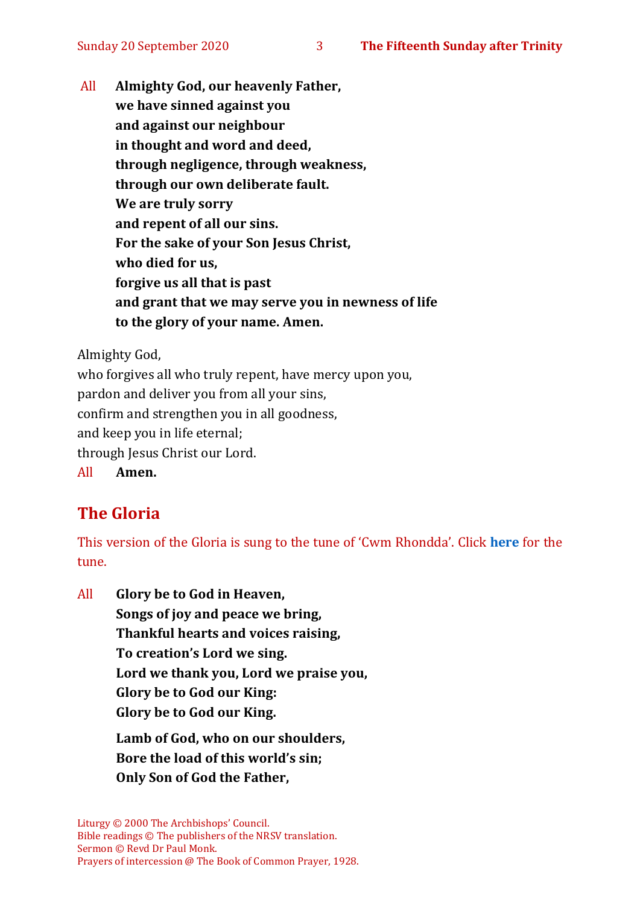All **Almighty God, our heavenly Father, we have sinned against you and against our neighbour in thought and word and deed, through negligence, through weakness, through our own deliberate fault. We are truly sorry and repent of all our sins. For the sake of your Son Jesus Christ, who died for us, forgive us all that is past and grant that we may serve you in newness of life to the glory of your name. Amen.**

Almighty God,

who forgives all who truly repent, have mercy upon you, pardon and deliver you from all your sins, confirm and strengthen you in all goodness, and keep you in life eternal; through Jesus Christ our Lord. All **Amen.**

## **The Gloria**

This version of the Gloria is sung to the tune of 'Cwm Rhondda'. Click **[here](about:blank)** for the tune.

All **Glory be to God in Heaven, Songs of joy and peace we bring, Thankful hearts and voices raising, To creation's Lord we sing. Lord we thank you, Lord we praise you, Glory be to God our King: Glory be to God our King. Lamb of God, who on our shoulders, Bore the load of this world's sin; Only Son of God the Father,**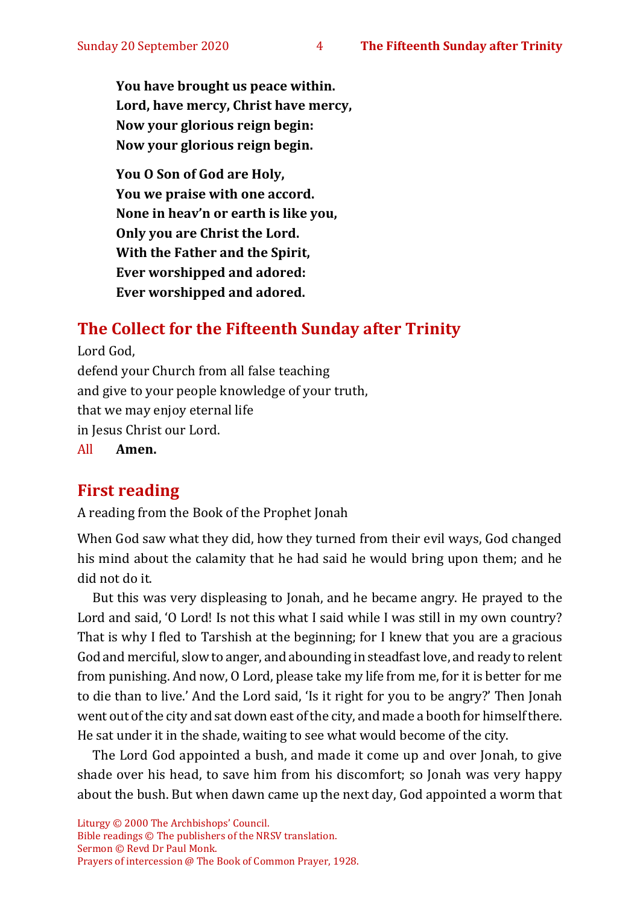**You have brought us peace within. Lord, have mercy, Christ have mercy, Now your glorious reign begin: Now your glorious reign begin.**

**You O Son of God are Holy, You we praise with one accord. None in heav'n or earth is like you, Only you are Christ the Lord. With the Father and the Spirit, Ever worshipped and adored: Ever worshipped and adored.**

## **The Collect for the Fifteenth Sunday after Trinity**

Lord God, defend your Church from all false teaching and give to your people knowledge of your truth, that we may enjoy eternal life in Jesus Christ our Lord.

All **Amen.**

## **First reading**

A reading from the Book of the Prophet Jonah

When God saw what they did, how they turned from their evil ways, God changed his mind about the calamity that he had said he would bring upon them; and he did not do it.

But this was very displeasing to Jonah, and he became angry. He prayed to the Lord and said, 'O Lord! Is not this what I said while I was still in my own country? That is why I fled to Tarshish at the beginning; for I knew that you are a gracious God and merciful, slow to anger, and abounding in steadfast love, and ready to relent from punishing. And now, O Lord, please take my life from me, for it is better for me to die than to live.' And the Lord said, 'Is it right for you to be angry?' Then Jonah went out of the city and sat down east of the city, and made a booth for himself there. He sat under it in the shade, waiting to see what would become of the city.

The Lord God appointed a bush, and made it come up and over Jonah, to give shade over his head, to save him from his discomfort; so Jonah was very happy about the bush. But when dawn came up the next day, God appointed a worm that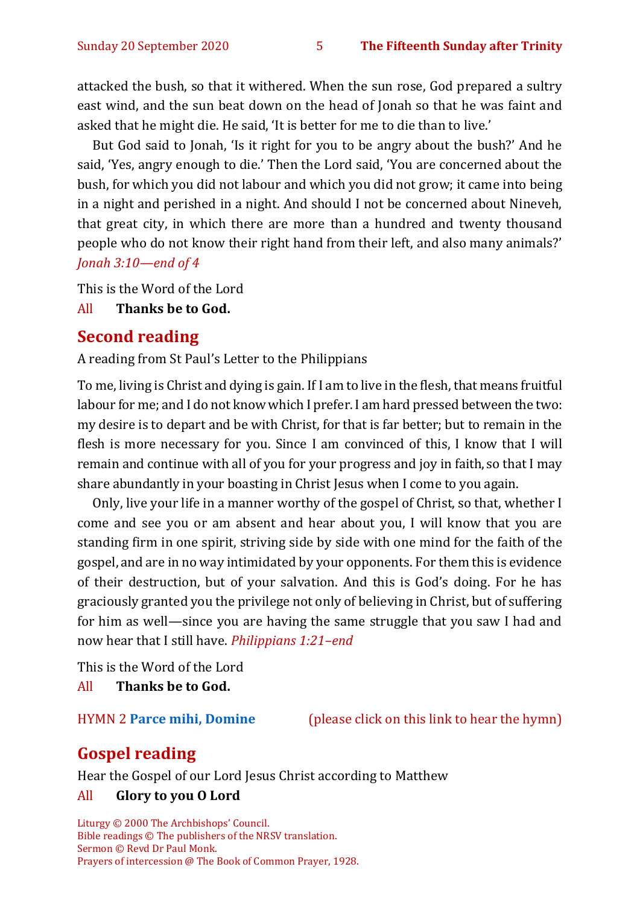attacked the bush, so that it withered. When the sun rose, God prepared a sultry east wind, and the sun beat down on the head of Jonah so that he was faint and asked that he might die. He said, 'It is better for me to die than to live.'

But God said to Jonah, 'Is it right for you to be angry about the bush?' And he said, 'Yes, angry enough to die.' Then the Lord said, 'You are concerned about the bush, for which you did not labour and which you did not grow; it came into being in a night and perished in a night. And should I not be concerned about Nineveh, that great city, in which there are more than a hundred and twenty thousand people who do not know their right hand from their left, and also many animals?' *Jonah 3:10—end of 4*

This is the Word of the Lord

#### All **Thanks be to God.**

## **Second reading**

A reading from St Paul's Letter to the Philippians

To me, living is Christ and dying is gain. If I am to live in the flesh, that means fruitful labour for me; and I do not know which I prefer. I am hard pressed between the two: my desire is to depart and be with Christ, for that is far better; but to remain in the flesh is more necessary for you. Since I am convinced of this, I know that I will remain and continue with all of you for your progress and joy in faith, so that I may share abundantly in your boasting in Christ Jesus when I come to you again.

Only, live your life in a manner worthy of the gospel of Christ, so that, whether I come and see you or am absent and hear about you, I will know that you are standing firm in one spirit, striving side by side with one mind for the faith of the gospel, and are in no way intimidated by your opponents. For them this is evidence of their destruction, but of your salvation. And this is God's doing. For he has graciously granted you the privilege not only of believing in Christ, but of suffering for him as well—since you are having the same struggle that you saw I had and now hear that I still have. *Philippians 1:21–end* 

This is the Word of the Lord

All **Thanks be to God.**

HYMN 2 **[Parce mihi, Domine](https://www.youtube.com/watch?v=Z_EZBfClFsg)** (please click on this link to hear the hymn)

## **Gospel reading**

Hear the Gospel of our Lord Jesus Christ according to Matthew

#### All **Glory to you O Lord**

Liturgy © 2000 The Archbishops' Council. Bible readings © The publishers of the NRSV translation. Sermon © Revd Dr Paul Monk. Prayers of intercession @ The Book of Common Prayer, 1928.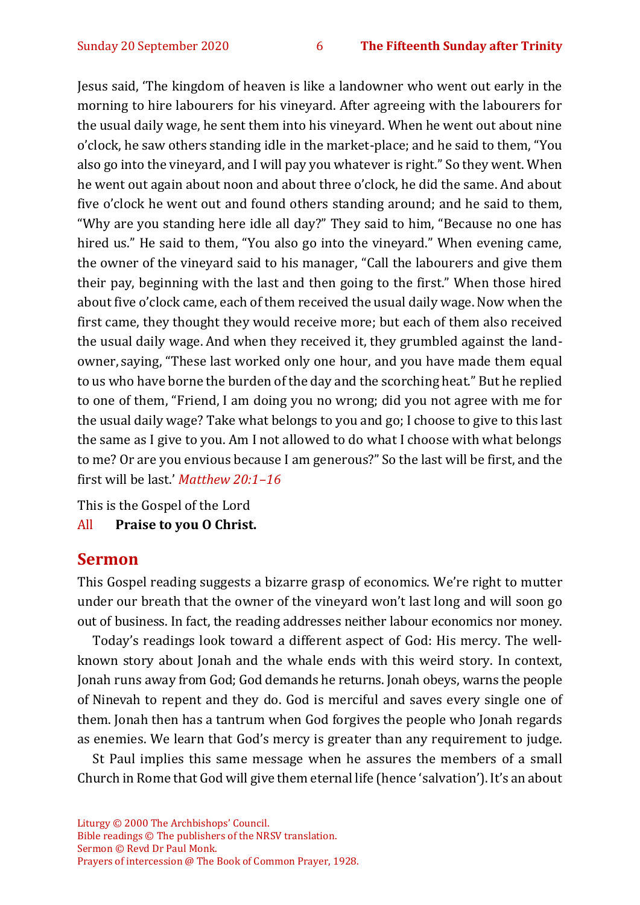Jesus said, 'The kingdom of heaven is like a landowner who went out early in the morning to hire labourers for his vineyard. After agreeing with the labourers for the usual daily wage, he sent them into his vineyard. When he went out about nine o'clock, he saw others standing idle in the market-place; and he said to them, "You also go into the vineyard, and I will pay you whatever is right." So they went. When he went out again about noon and about three o'clock, he did the same. And about five o'clock he went out and found others standing around; and he said to them, "Why are you standing here idle all day?" They said to him, "Because no one has hired us." He said to them, "You also go into the vineyard." When evening came, the owner of the vineyard said to his manager, "Call the labourers and give them their pay, beginning with the last and then going to the first." When those hired about five o'clock came, each of them received the usual daily wage. Now when the first came, they thought they would receive more; but each of them also received the usual daily wage. And when they received it, they grumbled against the landowner, saying, "These last worked only one hour, and you have made them equal to us who have borne the burden of the day and the scorching heat." But he replied to one of them, "Friend, I am doing you no wrong; did you not agree with me for the usual daily wage? Take what belongs to you and go; I choose to give to this last the same as I give to you. Am I not allowed to do what I choose with what belongs to me? Or are you envious because I am generous?" So the last will be first, and the first will be last.' *Matthew 20:1–16*

This is the Gospel of the Lord

All **Praise to you O Christ.** 

## **Sermon**

This Gospel reading suggests a bizarre grasp of economics. We're right to mutter under our breath that the owner of the vineyard won't last long and will soon go out of business. In fact, the reading addresses neither labour economics nor money.

Today's readings look toward a different aspect of God: His mercy. The wellknown story about Jonah and the whale ends with this weird story. In context, Jonah runs away from God; God demands he returns. Jonah obeys, warns the people of Ninevah to repent and they do. God is merciful and saves every single one of them. Jonah then has a tantrum when God forgives the people who Jonah regards as enemies. We learn that God's mercy is greater than any requirement to judge.

St Paul implies this same message when he assures the members of a small Church in Rome that God will give them eternal life (hence 'salvation'). It's an about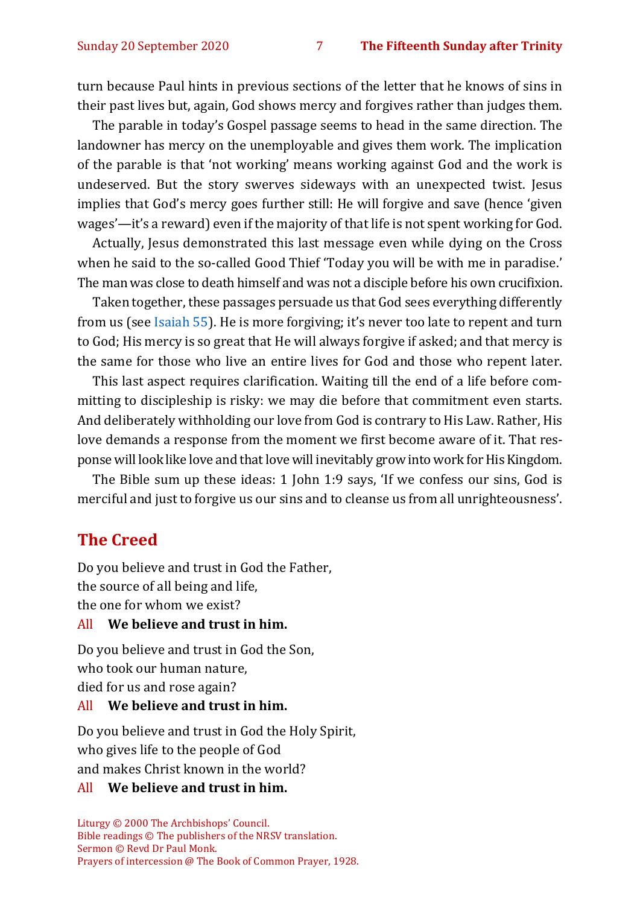turn because Paul hints in previous sections of the letter that he knows of sins in their past lives but, again, God shows mercy and forgives rather than judges them.

The parable in today's Gospel passage seems to head in the same direction. The landowner has mercy on the unemployable and gives them work. The implication of the parable is that 'not working' means working against God and the work is undeserved. But the story swerves sideways with an unexpected twist. Jesus implies that God's mercy goes further still: He will forgive and save (hence 'given wages'—it's a reward) even if the majority of that life is not spent working for God.

Actually, Jesus demonstrated this last message even while dying on the Cross when he said to the so-called Good Thief 'Today you will be with me in paradise.' The man was close to death himself and was not a disciple before his own crucifixion.

Taken together, these passages persuade us that God sees everything differently from us (see [Isaiah 55\)](https://www.biblegateway.com/passage/?search=Isaiah%2055%3A8-9&version=NIV). He is more forgiving; it's never too late to repent and turn to God; His mercy is so great that He will always forgive if asked; and that mercy is the same for those who live an entire lives for God and those who repent later.

This last aspect requires clarification. Waiting till the end of a life before committing to discipleship is risky: we may die before that commitment even starts. And deliberately withholding our love from God is contrary to His Law. Rather, His love demands a response from the moment we first become aware of it. That response will look like love and that love will inevitably grow into work for His Kingdom.

The Bible sum up these ideas: 1 John 1:9 says, 'If we confess our sins, God is merciful and just to forgive us our sins and to cleanse us from all unrighteousness'.

## **The Creed**

Do you believe and trust in God the Father, the source of all being and life, the one for whom we exist?

#### All **We believe and trust in him.**

Do you believe and trust in God the Son, who took our human nature, died for us and rose again?

#### All **We believe and trust in him.**

Do you believe and trust in God the Holy Spirit, who gives life to the people of God and makes Christ known in the world?

#### All **We believe and trust in him.**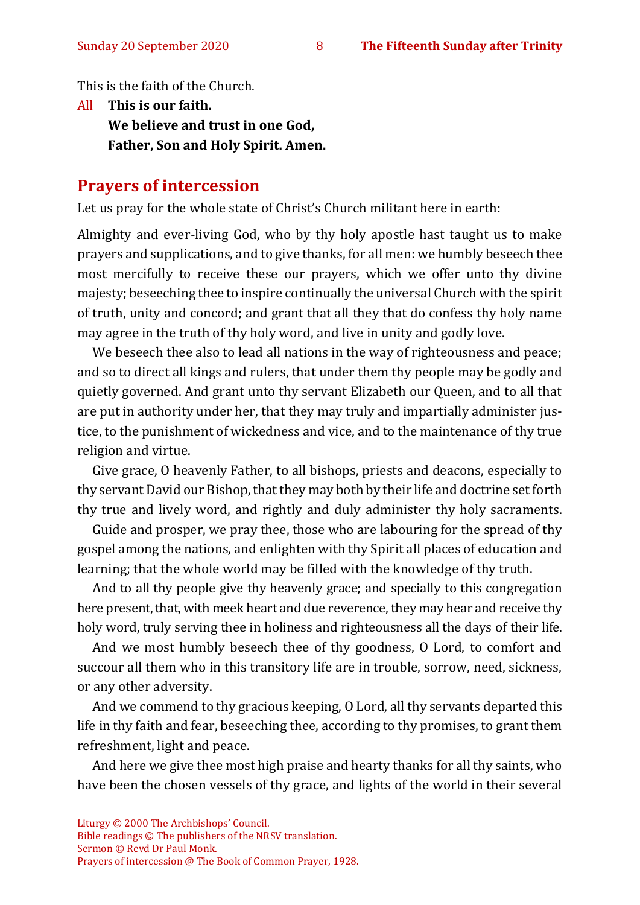This is the faith of the Church.

All **This is our faith. We believe and trust in one God, Father, Son and Holy Spirit. Amen.**

### **Prayers of intercession**

Let us pray for the whole state of Christ's Church militant here in earth:

Almighty and ever-living God, who by thy holy apostle hast taught us to make prayers and supplications, and to give thanks, for all men: we humbly beseech thee most mercifully to receive these our prayers, which we offer unto thy divine majesty; beseeching thee to inspire continually the universal Church with the spirit of truth, unity and concord; and grant that all they that do confess thy holy name may agree in the truth of thy holy word, and live in unity and godly love.

We beseech thee also to lead all nations in the way of righteousness and peace; and so to direct all kings and rulers, that under them thy people may be godly and quietly governed. And grant unto thy servant Elizabeth our Queen, and to all that are put in authority under her, that they may truly and impartially administer justice, to the punishment of wickedness and vice, and to the maintenance of thy true religion and virtue.

Give grace, O heavenly Father, to all bishops, priests and deacons, especially to thy servant David our Bishop, that they may both by their life and doctrine set forth thy true and lively word, and rightly and duly administer thy holy sacraments.

Guide and prosper, we pray thee, those who are labouring for the spread of thy gospel among the nations, and enlighten with thy Spirit all places of education and learning; that the whole world may be filled with the knowledge of thy truth.

And to all thy people give thy heavenly grace; and specially to this congregation here present, that, with meek heart and due reverence, they may hear and receive thy holy word, truly serving thee in holiness and righteousness all the days of their life.

And we most humbly beseech thee of thy goodness, O Lord, to comfort and succour all them who in this transitory life are in trouble, sorrow, need, sickness, or any other adversity.

And we commend to thy gracious keeping, O Lord, all thy servants departed this life in thy faith and fear, beseeching thee, according to thy promises, to grant them refreshment, light and peace.

And here we give thee most high praise and hearty thanks for all thy saints, who have been the chosen vessels of thy grace, and lights of the world in their several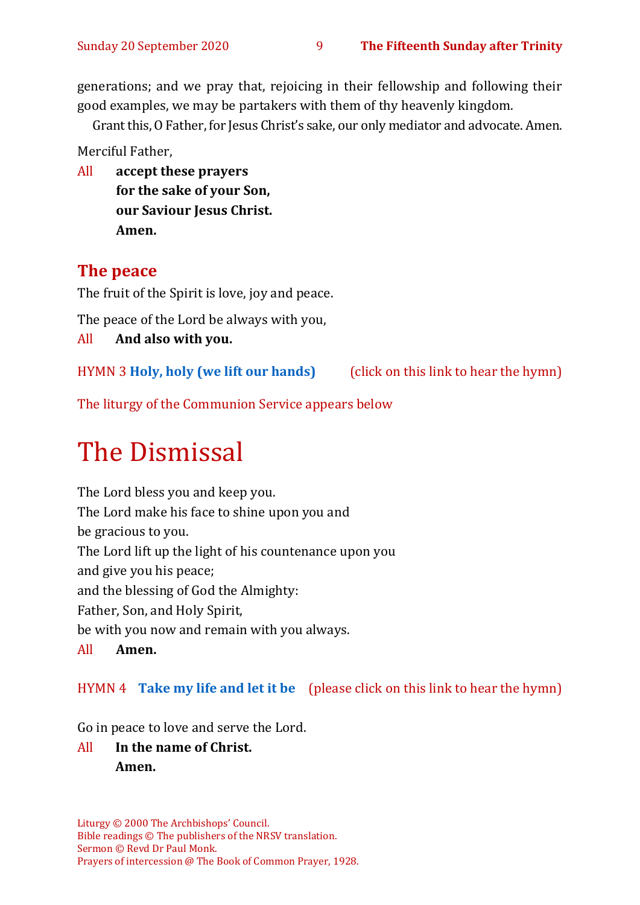generations; and we pray that, rejoicing in their fellowship and following their good examples, we may be partakers with them of thy heavenly kingdom.

Grant this, O Father, for Jesus Christ's sake, our only mediator and advocate. Amen.

Merciful Father,

All **accept these prayers for the sake of your Son, our Saviour Jesus Christ. Amen.**

## **The peace**

The fruit of the Spirit is love, joy and peace.

The peace of the Lord be always with you,

All **And also with you.**

HYMN 3 **Holy, holy [\(we lift our hands\)](https://www.youtube.com/watch?v=5dX4rN4WYAg)** (click on this link to hear the hymn)

The liturgy of the Communion Service appears below

# The Dismissal

The Lord bless you and keep you. The Lord make his face to shine upon you and be gracious to you. The Lord lift up the light of his countenance upon you and give you his peace; and the blessing of God the Almighty: Father, Son, and Holy Spirit, be with you now and remain with you always. All **Amen.**

HYMN 4 **[Take my life and let it be](https://www.youtube.com/watch?v=Gf11rReeWIs)** (please click on this link to hear the hymn)

Go in peace to love and serve the Lord.

All **In the name of Christ. Amen.**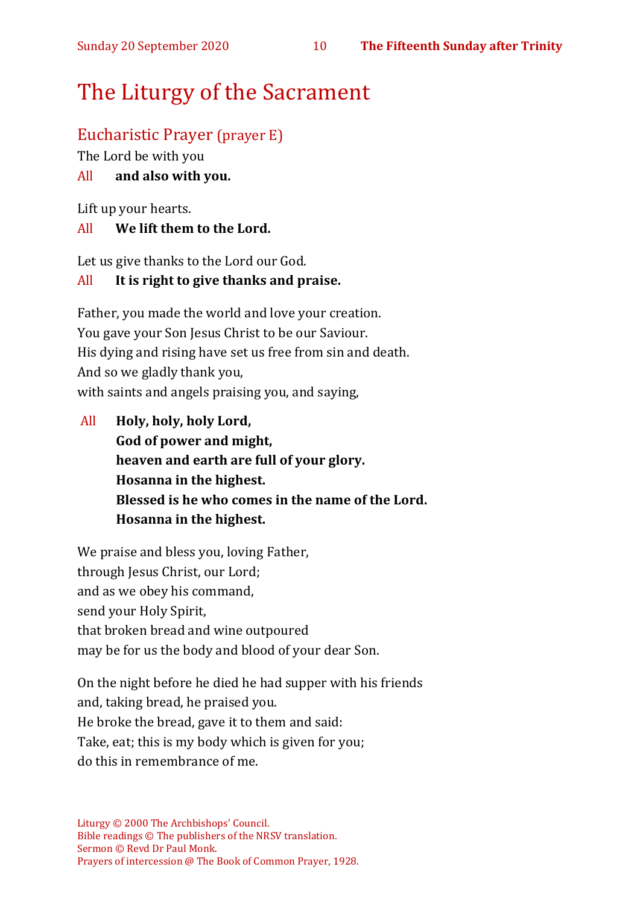# The Liturgy of the Sacrament

## Eucharistic Prayer (prayer E)

The Lord be with you

## All **and also with you.**

Lift up your hearts.

## All **We lift them to the Lord.**

Let us give thanks to the Lord our God.

## All **It is right to give thanks and praise.**

Father, you made the world and love your creation. You gave your Son Jesus Christ to be our Saviour. His dying and rising have set us free from sin and death. And so we gladly thank you, with saints and angels praising you, and saying,

All **Holy, holy, holy Lord, God of power and might, heaven and earth are full of your glory. Hosanna in the highest. Blessed is he who comes in the name of the Lord. Hosanna in the highest.**

We praise and bless you, loving Father, through Jesus Christ, our Lord; and as we obey his command, send your Holy Spirit, that broken bread and wine outpoured may be for us the body and blood of your dear Son.

On the night before he died he had supper with his friends and, taking bread, he praised you. He broke the bread, gave it to them and said: Take, eat; this is my body which is given for you; do this in remembrance of me.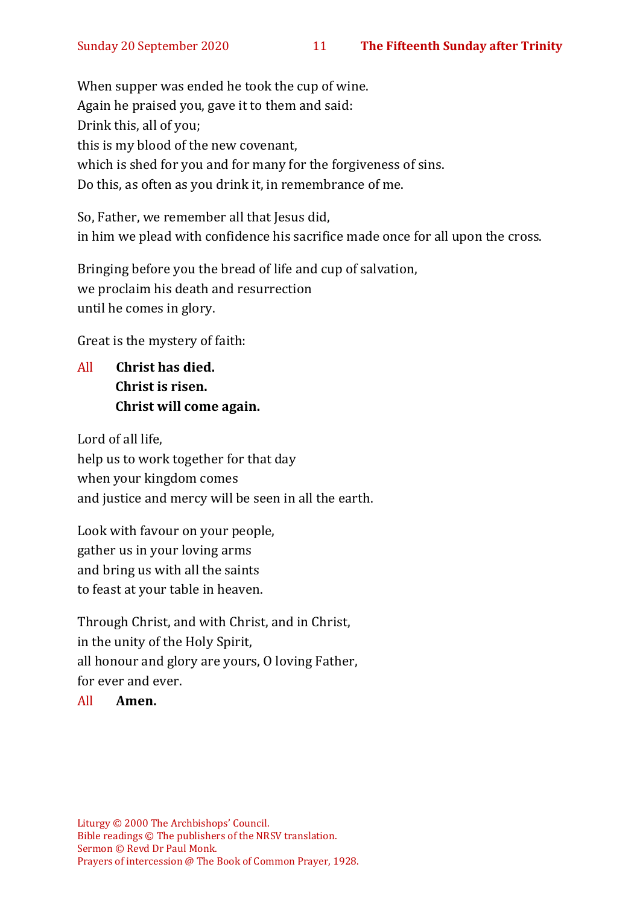When supper was ended he took the cup of wine. Again he praised you, gave it to them and said: Drink this, all of you; this is my blood of the new covenant, which is shed for you and for many for the forgiveness of sins. Do this, as often as you drink it, in remembrance of me.

So, Father, we remember all that Jesus did, in him we plead with confidence his sacrifice made once for all upon the cross.

Bringing before you the bread of life and cup of salvation, we proclaim his death and resurrection until he comes in glory.

Great is the mystery of faith:

All **Christ has died. Christ is risen. Christ will come again.**

Lord of all life, help us to work together for that day when your kingdom comes and justice and mercy will be seen in all the earth.

Look with favour on your people, gather us in your loving arms and bring us with all the saints to feast at your table in heaven.

Through Christ, and with Christ, and in Christ, in the unity of the Holy Spirit, all honour and glory are yours, O loving Father, for ever and ever.

All **Amen.**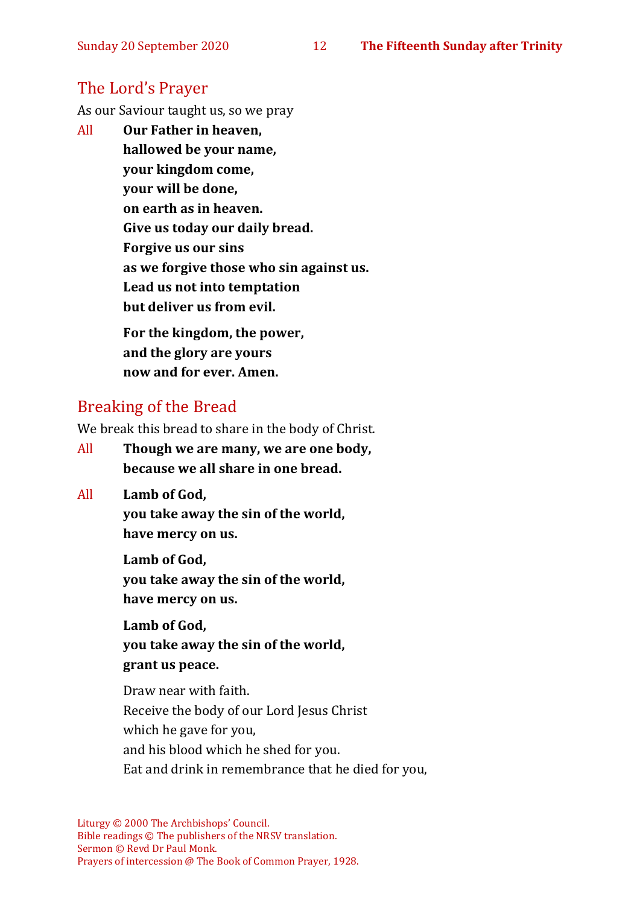## The Lord's Prayer

As our Saviour taught us, so we pray

All **Our Father in heaven, hallowed be your name, your kingdom come, your will be done, on earth as in heaven. Give us today our daily bread. Forgive us our sins as we forgive those who sin against us. Lead us not into temptation but deliver us from evil. For the kingdom, the power,** 

**and the glory are yours now and for ever. Amen.**

## Breaking of the Bread

We break this bread to share in the body of Christ.

- All **Though we are many, we are one body, because we all share in one bread.**
- All **Lamb of God,**

**you take away the sin of the world, have mercy on us.**

**Lamb of God, you take away the sin of the world, have mercy on us.**

**Lamb of God, you take away the sin of the world, grant us peace.**

Draw near with faith. Receive the body of our Lord Jesus Christ which he gave for you, and his blood which he shed for you. Eat and drink in remembrance that he died for you,